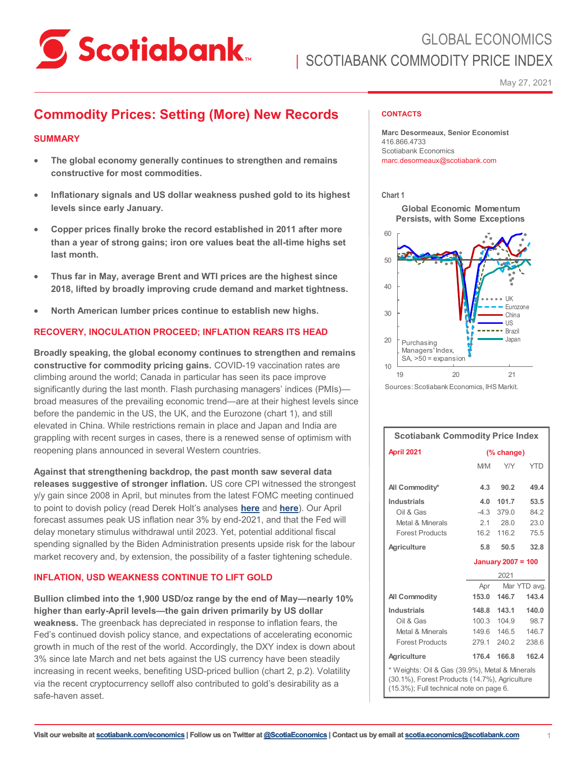

May 27, 2021

# **Commodity Prices: Setting (More) New Records**

# **SUMMARY**

- **The global economy generally continues to strengthen and remains constructive for most commodities.**
- **Inflationary signals and US dollar weakness pushed gold to its highest levels since early January.**
- **Copper prices finally broke the record established in 2011 after more than a year of strong gains; iron ore values beat the all-time highs set last month.**
- **Thus far in May, average Brent and WTI prices are the highest since 2018, lifted by broadly improving crude demand and market tightness.**
- **North American lumber prices continue to establish new highs.**

# **RECOVERY, INOCULATION PROCEED; INFLATION REARS ITS HEAD**

**Broadly speaking, the global economy continues to strengthen and remains constructive for commodity pricing gains.** COVID-19 vaccination rates are climbing around the world; Canada in particular has seen its pace improve significantly during the last month. Flash purchasing managers' indices (PMIs) broad measures of the prevailing economic trend—are at their highest levels since before the pandemic in the US, the UK, and the Eurozone (chart 1), and still elevated in China. While restrictions remain in place and Japan and India are grappling with recent surges in cases, there is a renewed sense of optimism with reopening plans announced in several Western countries.

**Against that strengthening backdrop, the past month saw several data releases suggestive of stronger inflation.** US core CPI witnessed the strongest y/y gain since 2008 in April, but minutes from the latest FOMC meeting continued to point to dovish policy (read Derek Holt's analyses **[here](https://www.scotiabank.com/ca/en/about/economics/economics-publications/post.other-publications.economic-indicators.scotia-flash.-may-12--2021-.html)** and **[here](https://www.scotiabank.com/ca/en/about/economics/economics-publications/post.other-publications.economic-indicators.scotia-flash.-may-19--2021--1.html)**). Our April forecast assumes peak US inflation near 3% by end-2021, and that the Fed will delay monetary stimulus withdrawal until 2023. Yet, potential additional fiscal spending signalled by the Biden Administration presents upside risk for the labour market recovery and, by extension, the possibility of a faster tightening schedule.

# **INFLATION, USD WEAKNESS CONTINUE TO LIFT GOLD**

**Bullion climbed into the 1,900 USD/oz range by the end of May—nearly 10% higher than early-April levels—the gain driven primarily by US dollar weakness.** The greenback has depreciated in response to inflation fears, the Fed's continued dovish policy stance, and expectations of accelerating economic growth in much of the rest of the world. Accordingly, the DXY index is down about 3% since late March and net bets against the US currency have been steadily increasing in recent weeks, benefiting USD-priced bullion (chart 2, p.2). Volatility via the recent cryptocurrency selloff also contributed to gold's desirability as a safe-haven asset.

### **CONTACTS**

**Marc Desormeaux, Senior Economist** 416.866.4733 Scotiabank Economics marc.desormeaux@scotiabank.com

### **Chart 1**

**Global Economic Momentum Persists, with Some Exceptions**



Sources: Scotiabank Economics, IHS Markit.

| <b>Scotiabank Commodity Price Index</b>                                                                                                   |                           |                     |            |  |  |
|-------------------------------------------------------------------------------------------------------------------------------------------|---------------------------|---------------------|------------|--|--|
| April 2021                                                                                                                                | (% change)                |                     |            |  |  |
|                                                                                                                                           | <b>M/M</b>                | Y/Y                 | <b>YTD</b> |  |  |
| All Commodity*                                                                                                                            | 4.3                       | 90.2                | 49.4       |  |  |
| <b>Industrials</b>                                                                                                                        | 4.0                       | 101.7               | 53.5       |  |  |
| Oil & Gas                                                                                                                                 | $-4.3$                    | 379.0               | 84.2       |  |  |
| Metal & Minerals                                                                                                                          |                           | $2.1$ $28.0$        | 23.0       |  |  |
| <b>Forest Products</b>                                                                                                                    | 16.2                      | 116.2               | 75.5       |  |  |
| Agriculture                                                                                                                               | 5.8                       | 50.5                | 32.8       |  |  |
|                                                                                                                                           | <b>January 2007 = 100</b> |                     |            |  |  |
|                                                                                                                                           | 2021                      |                     |            |  |  |
|                                                                                                                                           |                           | Mar YTD avg.<br>Apr |            |  |  |
| <b>All Commodity</b>                                                                                                                      | 153.0                     | 146.7               | 143.4      |  |  |
| <b>Industrials</b>                                                                                                                        | 148.8                     | 143.1               | 140.0      |  |  |
| Oil & Gas                                                                                                                                 | 100.3                     | 104.9               | 98.7       |  |  |
| Metal & Minerals                                                                                                                          | 149.6                     | 146.5               | 146.7      |  |  |
| <b>Forest Products</b>                                                                                                                    | 279.1                     | 240.2               | 238.6      |  |  |
| Agriculture                                                                                                                               | 176.4                     | 166.8               | 162.4      |  |  |
| * Weights: Oil & Gas (39.9%), Metal & Minerals<br>(30.1%), Forest Products (14.7%), Agriculture<br>(15.3%); Full technical note on page 6 |                           |                     |            |  |  |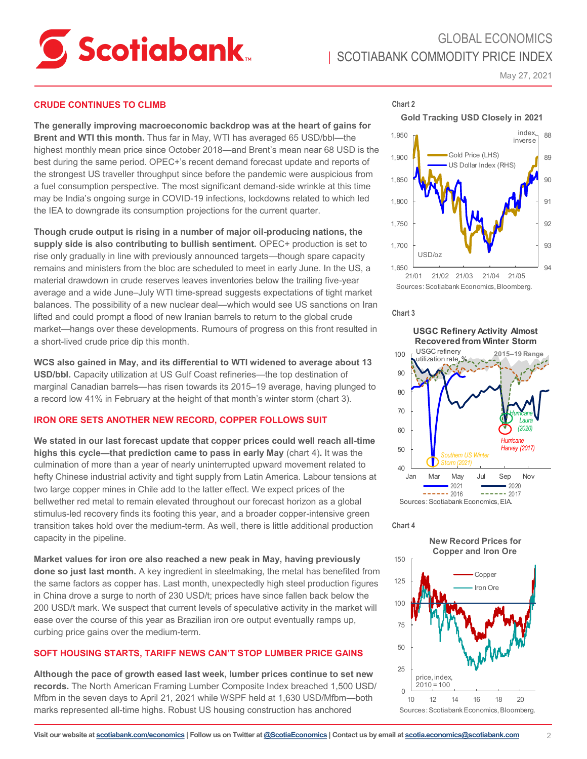

# GLOBAL ECONOMICS **I SCOTIABANK COMMODITY PRICE INDEX**

May 27, 2021

# **CRUDE CONTINUES TO CLIMB**

**The generally improving macroeconomic backdrop was at the heart of gains for Brent and WTI this month.** Thus far in May, WTI has averaged 65 USD/bbl—the highest monthly mean price since October 2018—and Brent's mean near 68 USD is the best during the same period. OPEC+'s recent demand forecast update and reports of the strongest US traveller throughput since before the pandemic were auspicious from a fuel consumption perspective. The most significant demand-side wrinkle at this time may be India's ongoing surge in COVID-19 infections, lockdowns related to which led the IEA to downgrade its consumption projections for the current quarter.

**Though crude output is rising in a number of major oil-producing nations, the supply side is also contributing to bullish sentiment.** OPEC+ production is set to rise only gradually in line with previously announced targets—though spare capacity remains and ministers from the bloc are scheduled to meet in early June. In the US, a material drawdown in crude reserves leaves inventories below the trailing five-year average and a wide June–July WTI time-spread suggests expectations of tight market balances. The possibility of a new nuclear deal—which would see US sanctions on Iran lifted and could prompt a flood of new Iranian barrels to return to the global crude market—hangs over these developments. Rumours of progress on this front resulted in a short-lived crude price dip this month.

**WCS also gained in May, and its differential to WTI widened to average about 13 USD/bbl.** Capacity utilization at US Gulf Coast refineries—the top destination of marginal Canadian barrels—has risen towards its 2015–19 average, having plunged to a record low 41% in February at the height of that month's winter storm (chart 3).

### **IRON ORE SETS ANOTHER NEW RECORD, COPPER FOLLOWS SUIT**

**We stated in our last forecast update that copper prices could well reach all-time highs this cycle—that prediction came to pass in early May** (chart 4)**.** It was the culmination of more than a year of nearly uninterrupted upward movement related to hefty Chinese industrial activity and tight supply from Latin America. Labour tensions at two large copper mines in Chile add to the latter effect. We expect prices of the bellwether red metal to remain elevated throughout our forecast horizon as a global stimulus-led recovery finds its footing this year, and a broader copper-intensive green transition takes hold over the medium-term. As well, there is little additional production capacity in the pipeline.

**Market values for iron ore also reached a new peak in May, having previously done so just last month.** A key ingredient in steelmaking, the metal has benefited from the same factors as copper has. Last month, unexpectedly high steel production figures in China drove a surge to north of 230 USD/t; prices have since fallen back below the 200 USD/t mark. We suspect that current levels of speculative activity in the market will ease over the course of this year as Brazilian iron ore output eventually ramps up, curbing price gains over the medium-term.

# **SOFT HOUSING STARTS, TARIFF NEWS CAN'T STOP LUMBER PRICE GAINS**

**Although the pace of growth eased last week, lumber prices continue to set new records.** The North American Framing Lumber Composite Index breached 1,500 USD/ Mfbm in the seven days to April 21, 2021 while WSPF held at 1,630 USD/Mfbm—both marks represented all-time highs. Robust US housing construction has anchored

**Gold Tracking USD Closely in 2021**



#### **Chart 3**

**Chart 2**

40 50  $60$ 70 80 90 100 Jan Mar May Jul Sep Nov 2021 2020  $\frac{2016}{ }$  ------ 2017 Sources: Scotiabank Economics, EIA. **Recovered from Winter Storm** USGC refinery utilization rate *Hurricane Harvey (2017) Hurricane Laura (2020)* **2015‒19 Range Southern US Winter** *Storm(2021)*

**USGC Refinery Activity Almost** 

### **Chart 4**

**New Record Prices for Copper and Iron Ore**

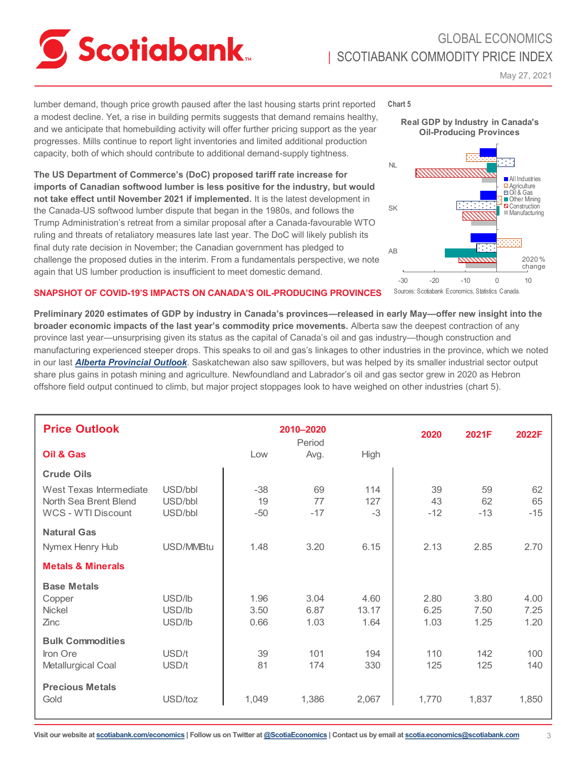

# GLOBAL ECONOMICS **I SCOTIABANK COMMODITY PRICE INDEX**

May 27, 2021

lumber demand, though price growth paused after the last housing starts print reported a modest decline. Yet, a rise in building permits suggests that demand remains healthy, and we anticipate that homebuilding activity will offer further pricing support as the year progresses. Mills continue to report light inventories and limited additional production capacity, both of which should contribute to additional demand-supply tightness.

**The US Department of Commerce's (DoC) proposed tariff rate increase for imports of Canadian softwood lumber is less positive for the industry, but would not take effect until November 2021 if implemented.** It is the latest development in the Canada-US softwood lumber dispute that began in the 1980s, and follows the Trump Administration's retreat from a similar proposal after a Canada-favourable WTO ruling and threats of retaliatory measures late last year. The DoC will likely publish its final duty rate decision in November; the Canadian government has pledged to challenge the proposed duties in the interim. From a fundamentals perspective, we note again that US lumber production is insufficient to meet domestic demand.

# **Chart 5**





# **SNAPSHOT OF COVID-19'S IMPACTS ON CANADA'S OIL-PRODUCING PROVINCES**

**Preliminary 2020 estimates of GDP by industry in Canada's provinces—released in early May—offer new insight into the broader economic impacts of the last year's commodity price movements.** Alberta saw the deepest contraction of any province last year—unsurprising given its status as the capital of Canada's oil and gas industry—though construction and manufacturing experienced steeper drops. This speaks to oil and gas's linkages to other industries in the province, which we noted in our last *[Alberta Provincial Outlook](https://www.scotiabank.com/ca/en/about/economics/economics-publications/post.other-publications.the-provinces.alberta--march-15--2021-.html)*. Saskatchewan also saw spillovers, but was helped by its smaller industrial sector output share plus gains in potash mining and agriculture. Newfoundland and Labrador's oil and gas sector grew in 2020 as Hebron offshore field output continued to climb, but major project stoppages look to have weighed on other industries (chart 5).

| <b>Price Outlook</b>                                                          |                               |                      | 2010-2020<br>Period  |                       | 2020                 | 2021F                | 2022F                |
|-------------------------------------------------------------------------------|-------------------------------|----------------------|----------------------|-----------------------|----------------------|----------------------|----------------------|
| Oil & Gas                                                                     |                               | Low                  | Avg.                 | High                  |                      |                      |                      |
| <b>Crude Oils</b>                                                             |                               |                      |                      |                       |                      |                      |                      |
| West Texas Intermediate<br>North Sea Brent Blend<br><b>WCS - WTI Discount</b> | USD/bbl<br>USD/bbl<br>USD/bbl | $-38$<br>19<br>$-50$ | 69<br>77<br>$-17$    | 114<br>127<br>$-3$    | 39<br>43<br>$-12$    | 59<br>62<br>$-13$    | 62<br>65<br>$-15$    |
| <b>Natural Gas</b><br>Nymex Henry Hub                                         | USD/MMBtu                     | 1.48                 | 3.20                 | 6.15                  | 2.13                 | 2.85                 | 2.70                 |
| <b>Metals &amp; Minerals</b>                                                  |                               |                      |                      |                       |                      |                      |                      |
| <b>Base Metals</b><br>Copper<br><b>Nickel</b><br>Zinc                         | USD/lb<br>USD/lb<br>USD/lb    | 1.96<br>3.50<br>0.66 | 3.04<br>6.87<br>1.03 | 4.60<br>13.17<br>1.64 | 2.80<br>6.25<br>1.03 | 3.80<br>7.50<br>1.25 | 4.00<br>7.25<br>1.20 |
| <b>Bulk Commodities</b><br>Iron Ore<br>Metallurgical Coal                     | USD/t<br>USD/t                | 39<br>81             | 101<br>174           | 194<br>330            | 110<br>125           | 142<br>125           | 100<br>140           |
| <b>Precious Metals</b><br>Gold                                                | USD/toz                       | 1,049                | 1,386                | 2,067                 | 1,770                | 1,837                | 1,850                |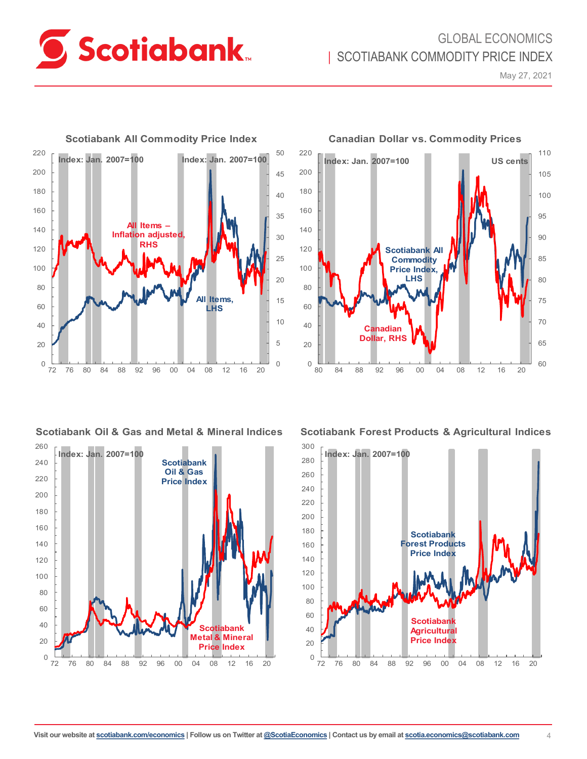

# GLOBAL ECONOMICS **I SCOTIABANK COMMODITY PRICE INDEX**

May 27, 2021



# **Scotiabank Oil & Gas and Metal & Mineral Indices**





**Scotiabank Forest Products & Agricultural Indices**



**Visit our website at [scotiabank.com/economics](https://www.scotiabank.com/ca/en/about/global-economics/economics-publications.html) | Follow us on Twitter at [@ScotiaEconomics](https://twitter.com/ScotiaEconomics) | Contact us by email at scotia.economics@scotiabank.com** 4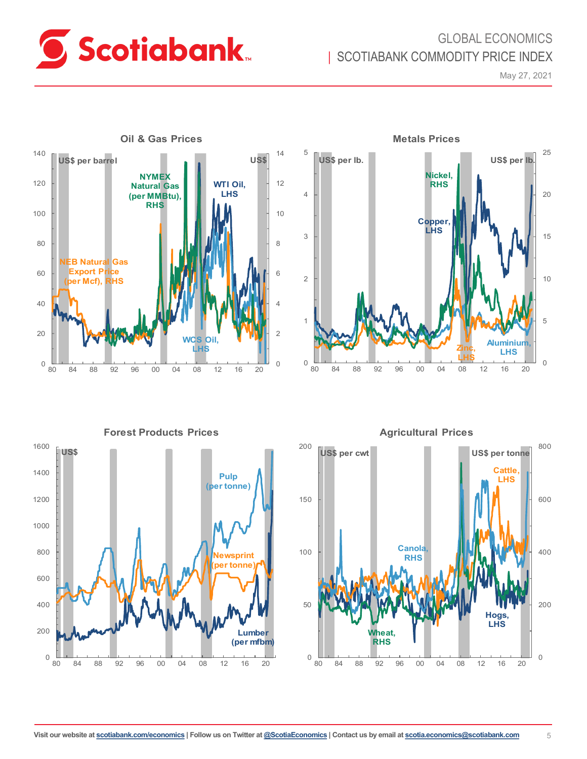

# GLOBAL ECONOMICS | SCOTIABANK COMMODITY PRICE INDEX

May 27, 2021







0 200 400 600 800 0 50 100 150 80 84 88 92 96 00 04 08 12 16 20 **US\$ per cwt Hogs, LHS US\$ per tonne Cattle, LHS Wheat, RHS Canola, RHS**

**Forest Products Prices** 200 **Agricultural Prices**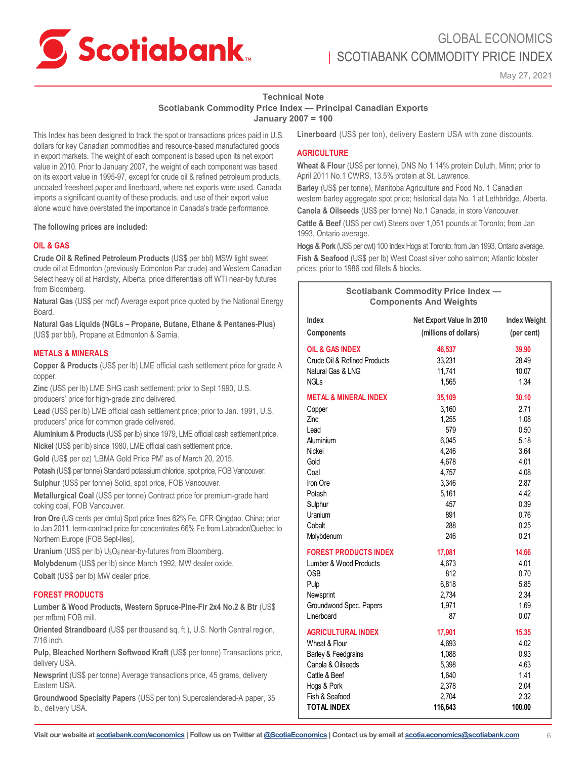

# GLOBAL ECONOMICS SCOTIABANK COMMODITY PRICE INDEX

May 27, 2021

# **Technical Note**

**Scotiabank Commodity Price Index — Principal Canadian Exports**

**January 2007 = 100**

This Index has been designed to track the spot or transactions prices paid in U.S. dollars for key Canadian commodities and resource-based manufactured goods in export markets. The weight of each component is based upon its net export value in 2010. Prior to January 2007, the weight of each component was based on its export value in 1995-97, except for crude oil & refined petroleum products, uncoated freesheet paper and linerboard, where net exports were used. Canada imports a significant quantity of these products, and use of their export value alone would have overstated the importance in Canada's trade performance.

**The following prices are included:** 

## **OIL & GAS**

**Crude Oil & Refined Petroleum Products** (US\$ per bbl) MSW light sweet crude oil at Edmonton (previously Edmonton Par crude) and Western Canadian Select heavy oil at Hardisty, Alberta; price differentials off WTI near-by futures from Bloomberg.

**Natural Gas** (US\$ per mcf) Average export price quoted by the National Energy Board.

**Natural Gas Liquids (NGLs – Propane, Butane, Ethane & Pentanes-Plus)** (US\$ per bbl), Propane at Edmonton & Sarnia.

## **METALS & MINERALS**

**Copper & Products** (US\$ per lb) LME official cash settlement price for grade A copper.

**Zinc** (US\$ per lb) LME SHG cash settlement: prior to Sept 1990, U.S. producers' price for high-grade zinc delivered.

**Lead** (US\$ per lb) LME official cash settlement price; prior to Jan. 1991, U.S. producers' price for common grade delivered.

**Aluminium & Products** (US\$ per lb) since 1979, LME official cash settlement price. **Nickel** (US\$ per lb) since 1980, LME official cash settlement price.

**Gold** (US\$ per oz) 'LBMA Gold Price PM' as of March 20, 2015.

**Potash** (US\$ per tonne) Standard potassium chloride, spot price, FOB Vancouver. **Sulphur** (US\$ per tonne) Solid, spot price, FOB Vancouver.

**Metallurgical Coal** (US\$ per tonne) Contract price for premium-grade hard coking coal, FOB Vancouver.

**Iron Ore** (US cents per dmtu) Spot price fines 62% Fe, CFR Qingdao, China; prior to Jan 2011, term-contract price for concentrates 66% Fe from Labrador/Quebec to Northern Europe (FOB Sept-Iles).

**Uranium** (US\$ per lb) U<sub>3</sub>O<sub>8</sub> near-by-futures from Bloomberg.

**Molybdenum** (US\$ per lb) since March 1992, MW dealer oxide.

**Cobalt** (US\$ per lb) MW dealer price.

## **FOREST PRODUCTS**

**Lumber & Wood Products, Western Spruce-Pine-Fir 2x4 No.2 & Btr** (US\$ per mfbm) FOB mill.

**Oriented Strandboard** (US\$ per thousand sq. ft.), U.S. North Central region, 7/16 inch.

**Pulp, Bleached Northern Softwood Kraft** (US\$ per tonne) Transactions price, delivery USA.

**Newsprint** (US\$ per tonne) Average transactions price, 45 grams, delivery Eastern USA.

**Groundwood Specialty Papers** (US\$ per ton) Supercalendered-A paper, 35 lb., delivery USA.

**Linerboard** (US\$ per ton), delivery Eastern USA with zone discounts.

# **AGRICULTURE**

**Wheat & Flour** (US\$ per tonne), DNS No 1 14% protein Duluth, Minn; prior to April 2011 No.1 CWRS, 13.5% protein at St. Lawrence.

**Barley** (US\$ per tonne), Manitoba Agriculture and Food No. 1 Canadian western barley aggregate spot price; historical data No. 1 at Lethbridge, Alberta.

**Canola & Oilseeds** (US\$ per tonne) No.1 Canada, in store Vancouver.

**Cattle & Beef** (US\$ per cwt) Steers over 1,051 pounds at Toronto; from Jan 1993, Ontario average.

**Hogs & Pork** (US\$ per cwt) 100 Index Hogs at Toronto; from Jan 1993, Ontario average.

**Fish & Seafood** (US\$ per lb) West Coast silver coho salmon; Atlantic lobster prices; prior to 1986 cod fillets & blocks.

| <b>Scotiabank Commodity Price Index -</b><br><b>Components And Weights</b> |                          |                     |  |  |  |
|----------------------------------------------------------------------------|--------------------------|---------------------|--|--|--|
| Index                                                                      | Net Export Value In 2010 | <b>Index Weight</b> |  |  |  |
| Components                                                                 | (millions of dollars)    | (per cent)          |  |  |  |
| <b>OIL &amp; GAS INDEX</b>                                                 | 46,537                   | 39.90               |  |  |  |
| Crude Oil & Refined Products                                               | 33,231                   | 28.49               |  |  |  |
| Natural Gas & LNG                                                          | 11,741                   | 10.07               |  |  |  |
| <b>NGLs</b>                                                                | 1,565                    | 1.34                |  |  |  |
| <b>METAL &amp; MINERAL INDEX</b>                                           | 35,109                   | 30.10               |  |  |  |
| Copper                                                                     | 3,160                    | 2.71                |  |  |  |
| Zinc                                                                       | 1,255                    | 1.08                |  |  |  |
| Lead                                                                       | 579                      | 0.50                |  |  |  |
| Aluminium                                                                  | 6,045                    | 5.18                |  |  |  |
| Nickel                                                                     | 4,246                    | 3.64                |  |  |  |
| Gold                                                                       | 4,678                    | 4.01                |  |  |  |
| Coal                                                                       | 4,757                    | 4.08                |  |  |  |
| Iron Ore                                                                   | 3,346                    | 2.87                |  |  |  |
| Potash                                                                     | 5,161                    | 4.42                |  |  |  |
| Sulphur                                                                    | 457                      | 0.39                |  |  |  |
| Uranium                                                                    | 891                      | 0.76                |  |  |  |
| Cobalt                                                                     | 288                      | 0.25                |  |  |  |
| Molybdenum                                                                 | 246                      | 0.21                |  |  |  |
| <b>FOREST PRODUCTS INDEX</b>                                               | 17,081                   | 14.66               |  |  |  |
| Lumber & Wood Products                                                     | 4,673                    | 4.01                |  |  |  |
| <b>OSB</b>                                                                 | 812                      | 0.70                |  |  |  |
| Pulp                                                                       | 6,818                    | 5.85                |  |  |  |
| Newsprint                                                                  | 2,734                    | 2.34                |  |  |  |
| Groundwood Spec. Papers                                                    | 1,971                    | 1.69                |  |  |  |
| Linerboard                                                                 | 87                       | 0.07                |  |  |  |
| <b>AGRICULTURAL INDEX</b>                                                  | 17,901                   | 15.35               |  |  |  |
| Wheat & Flour                                                              | 4,693                    | 4.02                |  |  |  |
| Barley & Feedgrains                                                        | 1,088                    | 0.93                |  |  |  |
| Canola & Oilseeds                                                          | 5,398                    | 4.63                |  |  |  |
| Cattle & Beef                                                              | 1,640                    | 1.41                |  |  |  |
| Hogs & Pork                                                                | 2,378                    | 2.04                |  |  |  |
| Fish & Seafood                                                             | 2,704                    | 2.32                |  |  |  |
| <b>TOTAL INDEX</b>                                                         | 116,643                  | 100.00              |  |  |  |